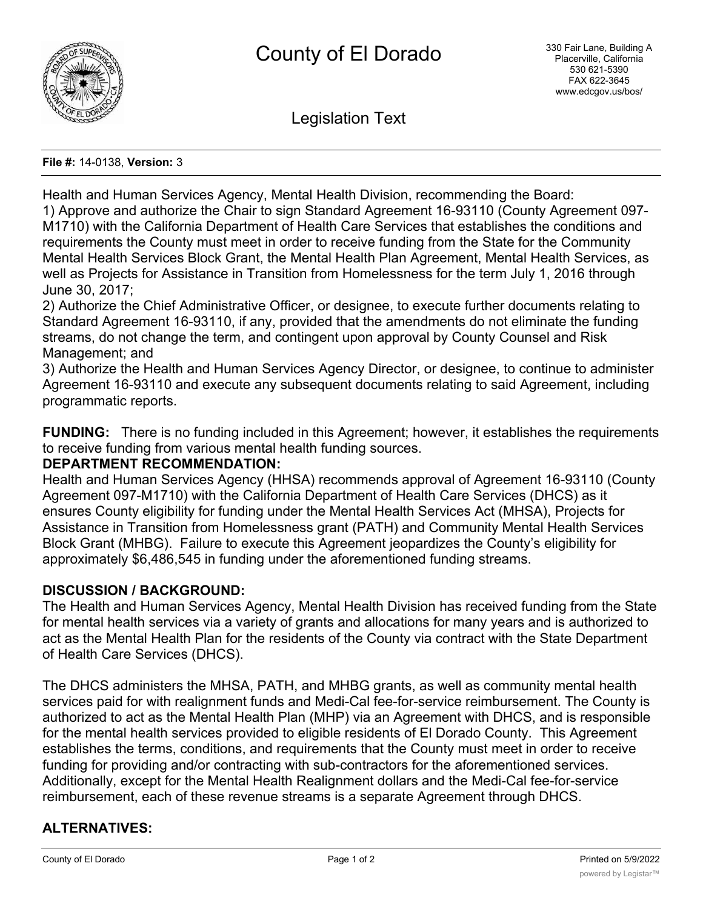

Legislation Text

#### **File #:** 14-0138, **Version:** 3

Health and Human Services Agency, Mental Health Division, recommending the Board: 1) Approve and authorize the Chair to sign Standard Agreement 16-93110 (County Agreement 097- M1710) with the California Department of Health Care Services that establishes the conditions and requirements the County must meet in order to receive funding from the State for the Community Mental Health Services Block Grant, the Mental Health Plan Agreement, Mental Health Services, as well as Projects for Assistance in Transition from Homelessness for the term July 1, 2016 through June 30, 2017;

2) Authorize the Chief Administrative Officer, or designee, to execute further documents relating to Standard Agreement 16-93110, if any, provided that the amendments do not eliminate the funding streams, do not change the term, and contingent upon approval by County Counsel and Risk Management; and

3) Authorize the Health and Human Services Agency Director, or designee, to continue to administer Agreement 16-93110 and execute any subsequent documents relating to said Agreement, including programmatic reports.

**FUNDING:** There is no funding included in this Agreement; however, it establishes the requirements to receive funding from various mental health funding sources.

#### **DEPARTMENT RECOMMENDATION:**

Health and Human Services Agency (HHSA) recommends approval of Agreement 16-93110 (County Agreement 097-M1710) with the California Department of Health Care Services (DHCS) as it ensures County eligibility for funding under the Mental Health Services Act (MHSA), Projects for Assistance in Transition from Homelessness grant (PATH) and Community Mental Health Services Block Grant (MHBG). Failure to execute this Agreement jeopardizes the County's eligibility for approximately \$6,486,545 in funding under the aforementioned funding streams.

### **DISCUSSION / BACKGROUND:**

The Health and Human Services Agency, Mental Health Division has received funding from the State for mental health services via a variety of grants and allocations for many years and is authorized to act as the Mental Health Plan for the residents of the County via contract with the State Department of Health Care Services (DHCS).

The DHCS administers the MHSA, PATH, and MHBG grants, as well as community mental health services paid for with realignment funds and Medi-Cal fee-for-service reimbursement. The County is authorized to act as the Mental Health Plan (MHP) via an Agreement with DHCS, and is responsible for the mental health services provided to eligible residents of El Dorado County. This Agreement establishes the terms, conditions, and requirements that the County must meet in order to receive funding for providing and/or contracting with sub-contractors for the aforementioned services. Additionally, except for the Mental Health Realignment dollars and the Medi-Cal fee-for-service reimbursement, each of these revenue streams is a separate Agreement through DHCS.

# **ALTERNATIVES:**